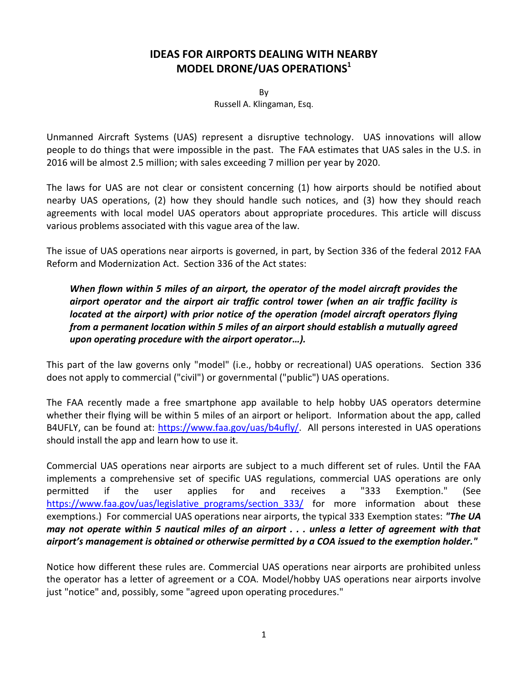# **IDEAS FOR AIRPORTS DEALING WITH NEARBY MODEL DRONE/UAS OPERATIONS<sup>1</sup>**

By Russell A. Klingaman, Esq.

Unmanned Aircraft Systems (UAS) represent a disruptive technology. UAS innovations will allow people to do things that were impossible in the past. The FAA estimates that UAS sales in the U.S. in 2016 will be almost 2.5 million; with sales exceeding 7 million per year by 2020.

The laws for UAS are not clear or consistent concerning (1) how airports should be notified about nearby UAS operations, (2) how they should handle such notices, and (3) how they should reach agreements with local model UAS operators about appropriate procedures. This article will discuss various problems associated with this vague area of the law.

The issue of UAS operations near airports is governed, in part, by Section 336 of the federal 2012 FAA Reform and Modernization Act. Section 336 of the Act states:

# *When flown within 5 miles of an airport, the operator of the model aircraft provides the airport operator and the airport air traffic control tower (when an air traffic facility is located at the airport) with prior notice of the operation (model aircraft operators flying from a permanent location within 5 miles of an airport should establish a mutually agreed upon operating procedure with the airport operator…).*

This part of the law governs only "model" (i.e., hobby or recreational) UAS operations. Section 336 does not apply to commercial ("civil") or governmental ("public") UAS operations.

The FAA recently made a free smartphone app available to help hobby UAS operators determine whether their flying will be within 5 miles of an airport or heliport. Information about the app, called B4UFLY, can be found at: [https://www.faa.gov/uas/b4ufly/.](https://www.faa.gov/uas/b4ufly/) All persons interested in UAS operations should install the app and learn how to use it.

Commercial UAS operations near airports are subject to a much different set of rules. Until the FAA implements a comprehensive set of specific UAS regulations, commercial UAS operations are only permitted if the user applies for and receives a "333 Exemption." (See [https://www.faa.gov/uas/legislative\\_programs/section\\_333/](https://www.faa.gov/uas/legislative_programs/section_333/) for more information about these exemptions.) For commercial UAS operations near airports, the typical 333 Exemption states: *"The UA may not operate within 5 nautical miles of an airport . . . unless a letter of agreement with that airport's management is obtained or otherwise permitted by a COA issued to the exemption holder."*

Notice how different these rules are. Commercial UAS operations near airports are prohibited unless the operator has a letter of agreement or a COA. Model/hobby UAS operations near airports involve just "notice" and, possibly, some "agreed upon operating procedures."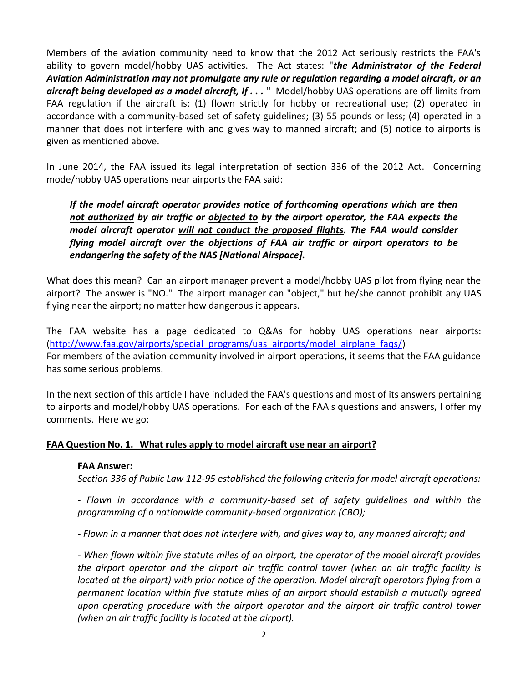Members of the aviation community need to know that the 2012 Act seriously restricts the FAA's ability to govern model/hobby UAS activities. The Act states: "*the Administrator of the Federal Aviation Administration may not promulgate any rule or regulation regarding a model aircraft, or an aircraft being developed as a model aircraft, If . . .* " Model/hobby UAS operations are off limits from FAA regulation if the aircraft is: (1) flown strictly for hobby or recreational use; (2) operated in accordance with a community-based set of safety guidelines; (3) 55 pounds or less; (4) operated in a manner that does not interfere with and gives way to manned aircraft; and (5) notice to airports is given as mentioned above.

In June 2014, the FAA issued its legal interpretation of section 336 of the 2012 Act. Concerning mode/hobby UAS operations near airports the FAA said:

*If the model aircraft operator provides notice of forthcoming operations which are then not authorized by air traffic or objected to by the airport operator, the FAA expects the model aircraft operator will not conduct the proposed flights. The FAA would consider flying model aircraft over the objections of FAA air traffic or airport operators to be endangering the safety of the NAS [National Airspace].*

What does this mean? Can an airport manager prevent a model/hobby UAS pilot from flying near the airport? The answer is "NO." The airport manager can "object," but he/she cannot prohibit any UAS flying near the airport; no matter how dangerous it appears.

The FAA website has a page dedicated to Q&As for hobby UAS operations near airports: [\(http://www.faa.gov/airports/special\\_programs/uas\\_airports/model\\_airplane\\_faqs/\)](http://www.faa.gov/airports/special_programs/uas_airports/model_airplane_faqs/) For members of the aviation community involved in airport operations, it seems that the FAA guidance has some serious problems.

In the next section of this article I have included the FAA's questions and most of its answers pertaining to airports and model/hobby UAS operations. For each of the FAA's questions and answers, I offer my comments. Here we go:

#### **FAA Question No. 1. What rules apply to model aircraft use near an airport?**

#### **FAA Answer:**

*Section 336 of Public Law 112-95 established the following criteria for model aircraft operations:* 

*- Flown in accordance with a community-based set of safety guidelines and within the programming of a nationwide community-based organization (CBO);*

*- Flown in a manner that does not interfere with, and gives way to, any manned aircraft; and*

*- When flown within five statute miles of an airport, the operator of the model aircraft provides the airport operator and the airport air traffic control tower (when an air traffic facility is located at the airport) with prior notice of the operation. Model aircraft operators flying from a permanent location within five statute miles of an airport should establish a mutually agreed upon operating procedure with the airport operator and the airport air traffic control tower (when an air traffic facility is located at the airport).*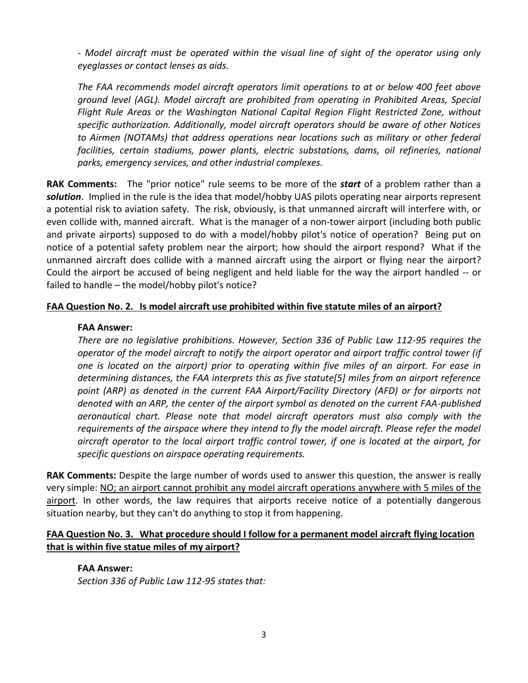*- Model aircraft must be operated within the visual line of sight of the operator using only eyeglasses or contact lenses as aids.* 

*The FAA recommends model aircraft operators limit operations to at or below 400 feet above ground level (AGL). Model aircraft are prohibited from operating in Prohibited Areas, Special Flight Rule Areas or the Washington National Capital Region Flight Restricted Zone, without specific authorization. Additionally, model aircraft operators should be aware of other Notices to Airmen (NOTAMs) that address operations near locations such as military or other federal*  facilities, certain stadiums, power plants, electric substations, dams, oil refineries, national *parks, emergency services, and other industrial complexes.*

**RAK Comments:** The "prior notice" rule seems to be more of the *start* of a problem rather than a *solution*. Implied in the rule is the idea that model/hobby UAS pilots operating near airports represent a potential risk to aviation safety. The risk, obviously, is that unmanned aircraft will interfere with, or even collide with, manned aircraft. What is the manager of a non-tower airport (including both public and private airports) supposed to do with a model/hobby pilot's notice of operation? Being put on notice of a potential safety problem near the airport; how should the airport respond? What if the unmanned aircraft does collide with a manned aircraft using the airport or flying near the airport? Could the airport be accused of being negligent and held liable for the way the airport handled -- or failed to handle – the model/hobby pilot's notice?

### **FAA Question No. 2. Is model aircraft use prohibited within five statute miles of an airport?**

### **FAA Answer:**

*There are no legislative prohibitions. However, Section 336 of Public Law 112-95 requires the operator of the model aircraft to notify the airport operator and airport traffic control tower (if one is located on the airport) prior to operating within five miles of an airport. For ease in determining distances, the FAA interprets this as five statute[5] miles from an airport reference*  point (ARP) as denoted in the current FAA Airport/Facility Directory (AFD) or for airports not *denoted with an ARP, the center of the airport symbol as denoted on the current FAA-published aeronautical chart. Please note that model aircraft operators must also comply with the requirements of the airspace where they intend to fly the model aircraft. Please refer the model aircraft operator to the local airport traffic control tower, if one is located at the airport, for specific questions on airspace operating requirements.*

**RAK Comments:** Despite the large number of words used to answer this question, the answer is really very simple: NO; an airport cannot prohibit any model aircraft operations anywhere with 5 miles of the airport. In other words, the law requires that airports receive notice of a potentially dangerous situation nearby, but they can't do anything to stop it from happening.

# **FAA Question No. 3. What procedure should I follow for a permanent model aircraft flying location that is within five statue miles of my airport?**

# **FAA Answer:**

*Section 336 of Public Law 112-95 states that:*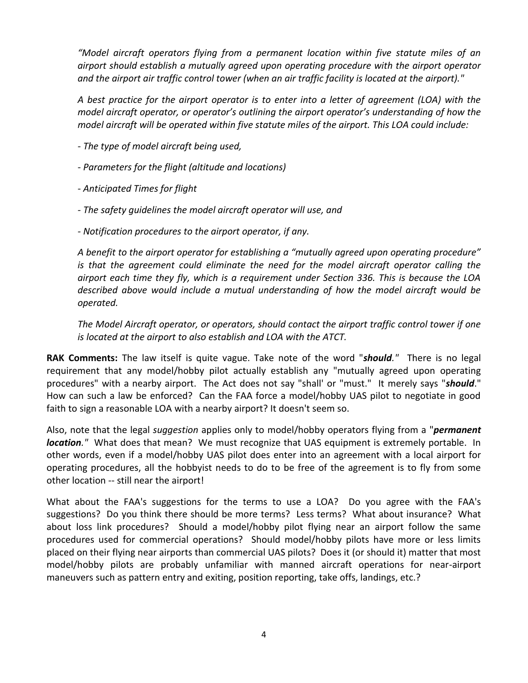*"Model aircraft operators flying from a permanent location within five statute miles of an airport should establish a mutually agreed upon operating procedure with the airport operator and the airport air traffic control tower (when an air traffic facility is located at the airport)."*

*A best practice for the airport operator is to enter into a letter of agreement (LOA) with the model aircraft operator, or operator's outlining the airport operator's understanding of how the model aircraft will be operated within five statute miles of the airport. This LOA could include:*

- *- The type of model aircraft being used,*
- *- Parameters for the flight (altitude and locations)*
- *- Anticipated Times for flight*
- *- The safety guidelines the model aircraft operator will use, and*
- *- Notification procedures to the airport operator, if any.*

*A benefit to the airport operator for establishing a "mutually agreed upon operating procedure" is that the agreement could eliminate the need for the model aircraft operator calling the airport each time they fly, which is a requirement under Section 336. This is because the LOA described above would include a mutual understanding of how the model aircraft would be operated.*

*The Model Aircraft operator, or operators, should contact the airport traffic control tower if one is located at the airport to also establish and LOA with the ATCT.*

**RAK Comments:** The law itself is quite vague. Take note of the word "*should."* There is no legal requirement that any model/hobby pilot actually establish any "mutually agreed upon operating procedures" with a nearby airport. The Act does not say "shall' or "must." It merely says "*should*." How can such a law be enforced? Can the FAA force a model/hobby UAS pilot to negotiate in good faith to sign a reasonable LOA with a nearby airport? It doesn't seem so.

Also, note that the legal *suggestion* applies only to model/hobby operators flying from a "*permanent location*." What does that mean? We must recognize that UAS equipment is extremely portable. In other words, even if a model/hobby UAS pilot does enter into an agreement with a local airport for operating procedures, all the hobbyist needs to do to be free of the agreement is to fly from some other location -- still near the airport!

What about the FAA's suggestions for the terms to use a LOA? Do you agree with the FAA's suggestions? Do you think there should be more terms? Less terms? What about insurance? What about loss link procedures? Should a model/hobby pilot flying near an airport follow the same procedures used for commercial operations? Should model/hobby pilots have more or less limits placed on their flying near airports than commercial UAS pilots? Does it (or should it) matter that most model/hobby pilots are probably unfamiliar with manned aircraft operations for near-airport maneuvers such as pattern entry and exiting, position reporting, take offs, landings, etc.?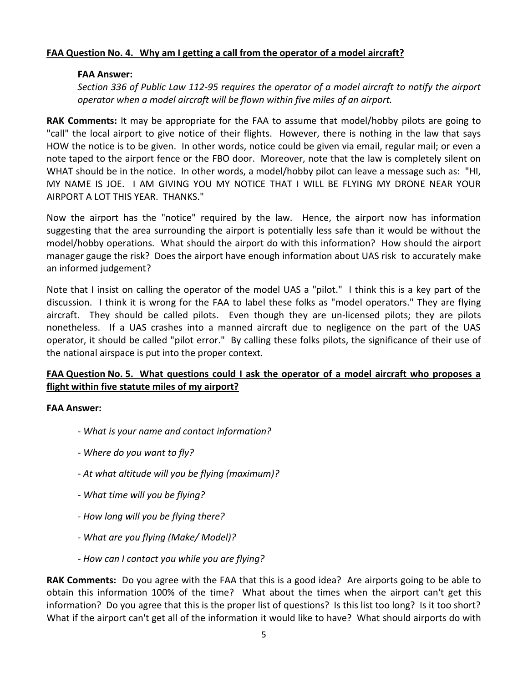### **FAA Question No. 4. Why am I getting a call from the operator of a model aircraft?**

#### **FAA Answer:**

*Section 336 of Public Law 112-95 requires the operator of a model aircraft to notify the airport operator when a model aircraft will be flown within five miles of an airport.*

**RAK Comments:** It may be appropriate for the FAA to assume that model/hobby pilots are going to "call" the local airport to give notice of their flights. However, there is nothing in the law that says HOW the notice is to be given. In other words, notice could be given via email, regular mail; or even a note taped to the airport fence or the FBO door. Moreover, note that the law is completely silent on WHAT should be in the notice. In other words, a model/hobby pilot can leave a message such as: "HI, MY NAME IS JOE. I AM GIVING YOU MY NOTICE THAT I WILL BE FLYING MY DRONE NEAR YOUR AIRPORT A LOT THIS YEAR. THANKS."

Now the airport has the "notice" required by the law. Hence, the airport now has information suggesting that the area surrounding the airport is potentially less safe than it would be without the model/hobby operations. What should the airport do with this information? How should the airport manager gauge the risk? Does the airport have enough information about UAS risk to accurately make an informed judgement?

Note that I insist on calling the operator of the model UAS a "pilot." I think this is a key part of the discussion. I think it is wrong for the FAA to label these folks as "model operators." They are flying aircraft. They should be called pilots. Even though they are un-licensed pilots; they are pilots nonetheless. If a UAS crashes into a manned aircraft due to negligence on the part of the UAS operator, it should be called "pilot error." By calling these folks pilots, the significance of their use of the national airspace is put into the proper context.

# **FAA Question No. 5. What questions could I ask the operator of a model aircraft who proposes a flight within five statute miles of my airport?**

#### **FAA Answer:**

- *- What is your name and contact information?*
- *- Where do you want to fly?*
- *- At what altitude will you be flying (maximum)?*
- *- What time will you be flying?*
- *- How long will you be flying there?*
- *- What are you flying (Make/ Model)?*
- *- How can I contact you while you are flying?*

**RAK Comments:** Do you agree with the FAA that this is a good idea? Are airports going to be able to obtain this information 100% of the time? What about the times when the airport can't get this information? Do you agree that this is the proper list of questions? Is this list too long? Is it too short? What if the airport can't get all of the information it would like to have? What should airports do with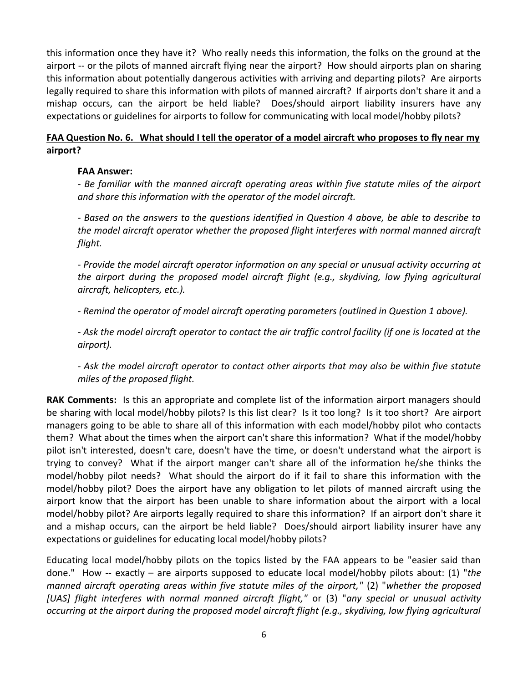this information once they have it? Who really needs this information, the folks on the ground at the airport -- or the pilots of manned aircraft flying near the airport? How should airports plan on sharing this information about potentially dangerous activities with arriving and departing pilots? Are airports legally required to share this information with pilots of manned aircraft? If airports don't share it and a mishap occurs, can the airport be held liable? Does/should airport liability insurers have any expectations or guidelines for airports to follow for communicating with local model/hobby pilots?

# **FAA Question No. 6. What should I tell the operator of a model aircraft who proposes to fly near my airport?**

### **FAA Answer:**

*- Be familiar with the manned aircraft operating areas within five statute miles of the airport and share this information with the operator of the model aircraft.*

*- Based on the answers to the questions identified in Question 4 above, be able to describe to the model aircraft operator whether the proposed flight interferes with normal manned aircraft flight.* 

*- Provide the model aircraft operator information on any special or unusual activity occurring at the airport during the proposed model aircraft flight (e.g., skydiving, low flying agricultural aircraft, helicopters, etc.).* 

*- Remind the operator of model aircraft operating parameters (outlined in Question 1 above).*

*- Ask the model aircraft operator to contact the air traffic control facility (if one is located at the airport).*

*- Ask the model aircraft operator to contact other airports that may also be within five statute miles of the proposed flight.*

**RAK Comments:** Is this an appropriate and complete list of the information airport managers should be sharing with local model/hobby pilots? Is this list clear? Is it too long? Is it too short? Are airport managers going to be able to share all of this information with each model/hobby pilot who contacts them? What about the times when the airport can't share this information? What if the model/hobby pilot isn't interested, doesn't care, doesn't have the time, or doesn't understand what the airport is trying to convey? What if the airport manger can't share all of the information he/she thinks the model/hobby pilot needs? What should the airport do if it fail to share this information with the model/hobby pilot? Does the airport have any obligation to let pilots of manned aircraft using the airport know that the airport has been unable to share information about the airport with a local model/hobby pilot? Are airports legally required to share this information? If an airport don't share it and a mishap occurs, can the airport be held liable? Does/should airport liability insurer have any expectations or guidelines for educating local model/hobby pilots?

Educating local model/hobby pilots on the topics listed by the FAA appears to be "easier said than done." How -- exactly – are airports supposed to educate local model/hobby pilots about: (1) "*the manned aircraft operating areas within five statute miles of the airport,"* (2) "*whether the proposed [UAS] flight interferes with normal manned aircraft flight,"* or (3) "*any special or unusual activity occurring at the airport during the proposed model aircraft flight (e.g., skydiving, low flying agricultural*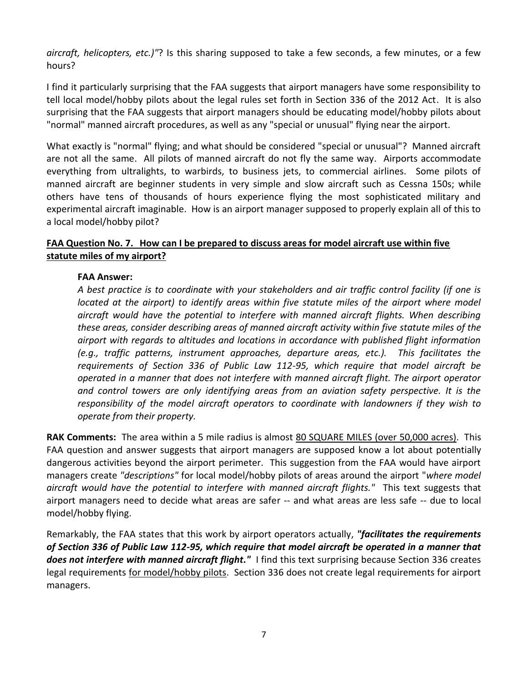*aircraft, helicopters, etc.)"*? Is this sharing supposed to take a few seconds, a few minutes, or a few hours?

I find it particularly surprising that the FAA suggests that airport managers have some responsibility to tell local model/hobby pilots about the legal rules set forth in Section 336 of the 2012 Act. It is also surprising that the FAA suggests that airport managers should be educating model/hobby pilots about "normal" manned aircraft procedures, as well as any "special or unusual" flying near the airport.

What exactly is "normal" flying; and what should be considered "special or unusual"? Manned aircraft are not all the same. All pilots of manned aircraft do not fly the same way. Airports accommodate everything from ultralights, to warbirds, to business jets, to commercial airlines. Some pilots of manned aircraft are beginner students in very simple and slow aircraft such as Cessna 150s; while others have tens of thousands of hours experience flying the most sophisticated military and experimental aircraft imaginable. How is an airport manager supposed to properly explain all of this to a local model/hobby pilot?

# **FAA Question No. 7. How can I be prepared to discuss areas for model aircraft use within five statute miles of my airport?**

### **FAA Answer:**

*A best practice is to coordinate with your stakeholders and air traffic control facility (if one is located at the airport) to identify areas within five statute miles of the airport where model aircraft would have the potential to interfere with manned aircraft flights. When describing these areas, consider describing areas of manned aircraft activity within five statute miles of the airport with regards to altitudes and locations in accordance with published flight information (e.g., traffic patterns, instrument approaches, departure areas, etc.). This facilitates the requirements of Section 336 of Public Law 112-95, which require that model aircraft be operated in a manner that does not interfere with manned aircraft flight. The airport operator and control towers are only identifying areas from an aviation safety perspective. It is the responsibility of the model aircraft operators to coordinate with landowners if they wish to operate from their property.*

**RAK Comments:** The area within a 5 mile radius is almost 80 SQUARE MILES (over 50,000 acres). This FAA question and answer suggests that airport managers are supposed know a lot about potentially dangerous activities beyond the airport perimeter. This suggestion from the FAA would have airport managers create *"descriptions"* for local model/hobby pilots of areas around the airport "*where model aircraft would have the potential to interfere with manned aircraft flights."* This text suggests that airport managers need to decide what areas are safer -- and what areas are less safe -- due to local model/hobby flying.

Remarkably, the FAA states that this work by airport operators actually, *"facilitates the requirements of Section 336 of Public Law 112-95, which require that model aircraft be operated in a manner that does not interfere with manned aircraft flight."* I find this text surprising because Section 336 creates legal requirements for model/hobby pilots. Section 336 does not create legal requirements for airport managers.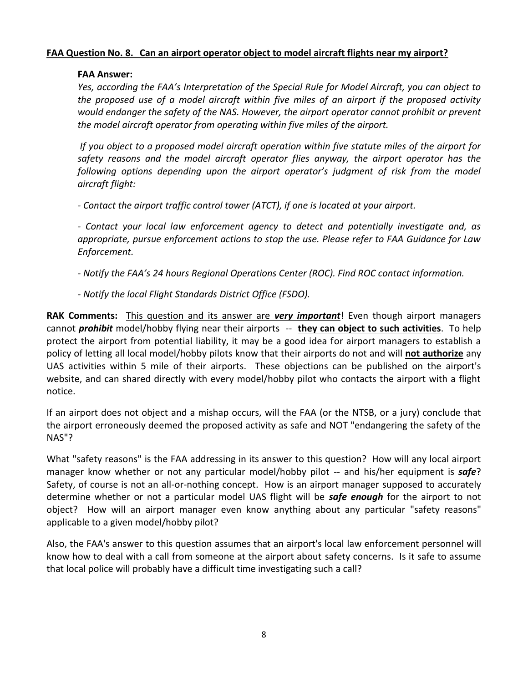#### **FAA Question No. 8. Can an airport operator object to model aircraft flights near my airport?**

#### **FAA Answer:**

*Yes, according the FAA's Interpretation of the Special Rule for Model Aircraft, you can object to the proposed use of a model aircraft within five miles of an airport if the proposed activity would endanger the safety of the NAS. However, the airport operator cannot prohibit or prevent the model aircraft operator from operating within five miles of the airport.* 

*If you object to a proposed model aircraft operation within five statute miles of the airport for safety reasons and the model aircraft operator flies anyway, the airport operator has the following options depending upon the airport operator's judgment of risk from the model aircraft flight:*

*- Contact the airport traffic control tower (ATCT), if one is located at your airport.*

*- Contact your local law enforcement agency to detect and potentially investigate and, as appropriate, pursue enforcement actions to stop the use. Please refer to FAA Guidance for Law Enforcement.*

*- Notify the FAA's 24 hours Regional Operations Center (ROC). Find ROC contact information.*

*- Notify the local Flight Standards District Office (FSDO).*

**RAK Comments:** This question and its answer are *very important*! Even though airport managers cannot *prohibit* model/hobby flying near their airports -- **they can object to such activities**. To help protect the airport from potential liability, it may be a good idea for airport managers to establish a policy of letting all local model/hobby pilots know that their airports do not and will **not authorize** any UAS activities within 5 mile of their airports. These objections can be published on the airport's website, and can shared directly with every model/hobby pilot who contacts the airport with a flight notice.

If an airport does not object and a mishap occurs, will the FAA (or the NTSB, or a jury) conclude that the airport erroneously deemed the proposed activity as safe and NOT "endangering the safety of the NAS"?

What "safety reasons" is the FAA addressing in its answer to this question? How will any local airport manager know whether or not any particular model/hobby pilot -- and his/her equipment is **safe**? Safety, of course is not an all-or-nothing concept. How is an airport manager supposed to accurately determine whether or not a particular model UAS flight will be *safe enough* for the airport to not object? How will an airport manager even know anything about any particular "safety reasons" applicable to a given model/hobby pilot?

Also, the FAA's answer to this question assumes that an airport's local law enforcement personnel will know how to deal with a call from someone at the airport about safety concerns. Is it safe to assume that local police will probably have a difficult time investigating such a call?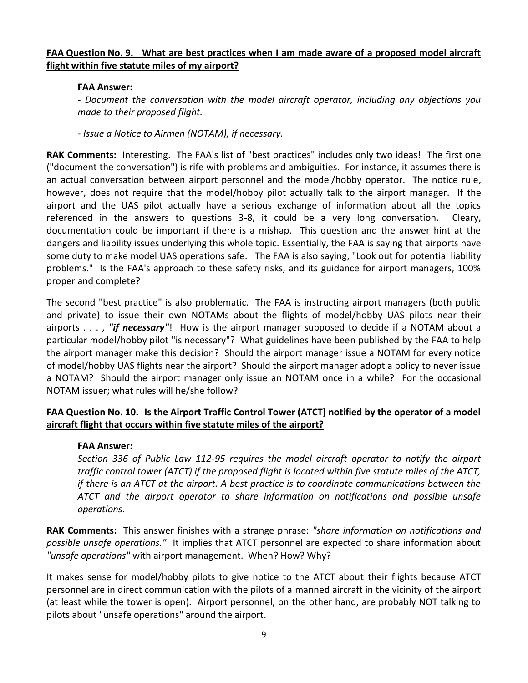### **FAA Question No. 9. What are best practices when I am made aware of a proposed model aircraft flight within five statute miles of my airport?**

#### **FAA Answer:**

*- Document the conversation with the model aircraft operator, including any objections you made to their proposed flight.*

*- Issue a Notice to Airmen (NOTAM), if necessary.*

**RAK Comments:** Interesting. The FAA's list of "best practices" includes only two ideas! The first one ("document the conversation") is rife with problems and ambiguities. For instance, it assumes there is an actual conversation between airport personnel and the model/hobby operator. The notice rule, however, does not require that the model/hobby pilot actually talk to the airport manager. If the airport and the UAS pilot actually have a serious exchange of information about all the topics referenced in the answers to questions 3-8, it could be a very long conversation. Cleary, documentation could be important if there is a mishap. This question and the answer hint at the dangers and liability issues underlying this whole topic. Essentially, the FAA is saying that airports have some duty to make model UAS operations safe. The FAA is also saying, "Look out for potential liability problems." Is the FAA's approach to these safety risks, and its guidance for airport managers, 100% proper and complete?

The second "best practice" is also problematic. The FAA is instructing airport managers (both public and private) to issue their own NOTAMs about the flights of model/hobby UAS pilots near their airports . . . , *"if necessary"*! How is the airport manager supposed to decide if a NOTAM about a particular model/hobby pilot "is necessary"? What guidelines have been published by the FAA to help the airport manager make this decision? Should the airport manager issue a NOTAM for every notice of model/hobby UAS flights near the airport? Should the airport manager adopt a policy to never issue a NOTAM? Should the airport manager only issue an NOTAM once in a while? For the occasional NOTAM issuer; what rules will he/she follow?

# **FAA Question No. 10. Is the Airport Traffic Control Tower (ATCT) notified by the operator of a model aircraft flight that occurs within five statute miles of the airport?**

#### **FAA Answer:**

*Section 336 of Public Law 112-95 requires the model aircraft operator to notify the airport traffic control tower (ATCT) if the proposed flight is located within five statute miles of the ATCT, if there is an ATCT at the airport. A best practice is to coordinate communications between the ATCT and the airport operator to share information on notifications and possible unsafe operations.*

**RAK Comments:** This answer finishes with a strange phrase: *"share information on notifications and possible unsafe operations."* It implies that ATCT personnel are expected to share information about *"unsafe operations"* with airport management. When? How? Why?

It makes sense for model/hobby pilots to give notice to the ATCT about their flights because ATCT personnel are in direct communication with the pilots of a manned aircraft in the vicinity of the airport (at least while the tower is open). Airport personnel, on the other hand, are probably NOT talking to pilots about "unsafe operations" around the airport.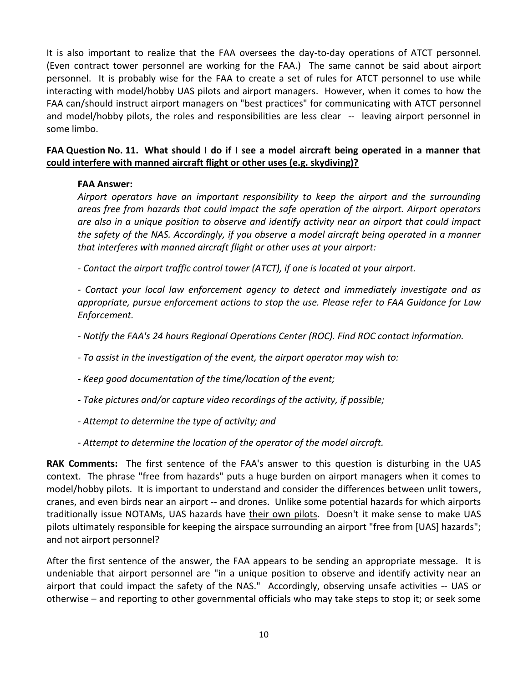It is also important to realize that the FAA oversees the day-to-day operations of ATCT personnel. (Even contract tower personnel are working for the FAA.) The same cannot be said about airport personnel. It is probably wise for the FAA to create a set of rules for ATCT personnel to use while interacting with model/hobby UAS pilots and airport managers. However, when it comes to how the FAA can/should instruct airport managers on "best practices" for communicating with ATCT personnel and model/hobby pilots, the roles and responsibilities are less clear -- leaving airport personnel in some limbo.

# **FAA Question No. 11. What should I do if I see a model aircraft being operated in a manner that could interfere with manned aircraft flight or other uses (e.g. skydiving)?**

# **FAA Answer:**

*Airport operators have an important responsibility to keep the airport and the surrounding areas free from hazards that could impact the safe operation of the airport. Airport operators are also in a unique position to observe and identify activity near an airport that could impact the safety of the NAS. Accordingly, if you observe a model aircraft being operated in a manner that interferes with manned aircraft flight or other uses at your airport:*

*- Contact the airport traffic control tower (ATCT), if one is located at your airport.*

*- Contact your local law enforcement agency to detect and immediately investigate and as appropriate, pursue enforcement actions to stop the use. Please refer to FAA Guidance for Law Enforcement.*

*- Notify the FAA's 24 hours Regional Operations Center (ROC). Find ROC contact information.*

*- To assist in the investigation of the event, the airport operator may wish to:*

*- Keep good documentation of the time/location of the event;*

*- Take pictures and/or capture video recordings of the activity, if possible;*

*- Attempt to determine the type of activity; and*

*- Attempt to determine the location of the operator of the model aircraft.* 

**RAK Comments:** The first sentence of the FAA's answer to this question is disturbing in the UAS context. The phrase "free from hazards" puts a huge burden on airport managers when it comes to model/hobby pilots. It is important to understand and consider the differences between unlit towers, cranes, and even birds near an airport -- and drones. Unlike some potential hazards for which airports traditionally issue NOTAMs, UAS hazards have their own pilots. Doesn't it make sense to make UAS pilots ultimately responsible for keeping the airspace surrounding an airport "free from [UAS] hazards"; and not airport personnel?

After the first sentence of the answer, the FAA appears to be sending an appropriate message. It is undeniable that airport personnel are "in a unique position to observe and identify activity near an airport that could impact the safety of the NAS." Accordingly, observing unsafe activities -- UAS or otherwise – and reporting to other governmental officials who may take steps to stop it; or seek some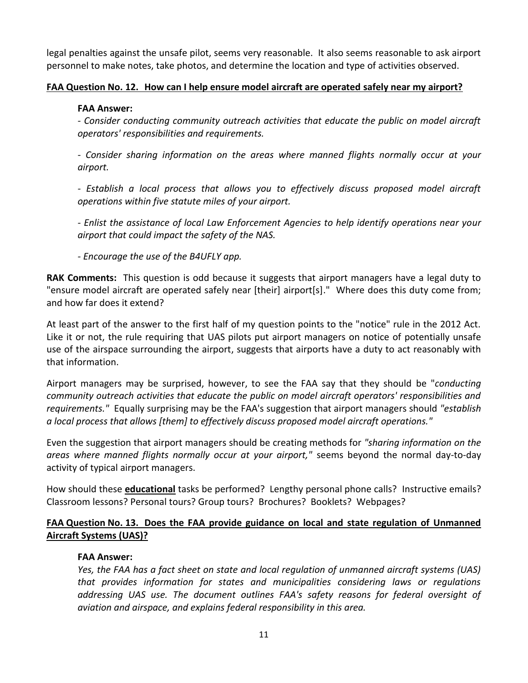legal penalties against the unsafe pilot, seems very reasonable. It also seems reasonable to ask airport personnel to make notes, take photos, and determine the location and type of activities observed.

# **FAA Question No. 12. How can I help ensure model aircraft are operated safely near my airport?**

## **FAA Answer:**

*- Consider conducting community outreach activities that educate the public on model aircraft operators' responsibilities and requirements.*

*- Consider sharing information on the areas where manned flights normally occur at your airport.*

*- Establish a local process that allows you to effectively discuss proposed model aircraft operations within five statute miles of your airport.*

*- Enlist the assistance of local Law Enforcement Agencies to help identify operations near your airport that could impact the safety of the NAS.*

*- Encourage the use of the B4UFLY app.*

**RAK Comments:** This question is odd because it suggests that airport managers have a legal duty to "ensure model aircraft are operated safely near [their] airport[s]." Where does this duty come from; and how far does it extend?

At least part of the answer to the first half of my question points to the "notice" rule in the 2012 Act. Like it or not, the rule requiring that UAS pilots put airport managers on notice of potentially unsafe use of the airspace surrounding the airport, suggests that airports have a duty to act reasonably with that information.

Airport managers may be surprised, however, to see the FAA say that they should be "*conducting community outreach activities that educate the public on model aircraft operators' responsibilities and requirements."* Equally surprising may be the FAA's suggestion that airport managers should *"establish a local process that allows [them] to effectively discuss proposed model aircraft operations."*

Even the suggestion that airport managers should be creating methods for *"sharing information on the areas where manned flights normally occur at your airport,"* seems beyond the normal day-to-day activity of typical airport managers.

How should these **educational** tasks be performed? Lengthy personal phone calls? Instructive emails? Classroom lessons? Personal tours? Group tours? Brochures? Booklets? Webpages?

# **FAA Question No. 13. Does the FAA provide guidance on local and state regulation of Unmanned Aircraft Systems (UAS)?**

# **FAA Answer:**

*Yes, the FAA has a fact sheet on state and local regulation of unmanned aircraft systems (UAS) that provides information for states and municipalities considering laws or regulations addressing UAS use. The document outlines FAA's safety reasons for federal oversight of aviation and airspace, and explains federal responsibility in this area.*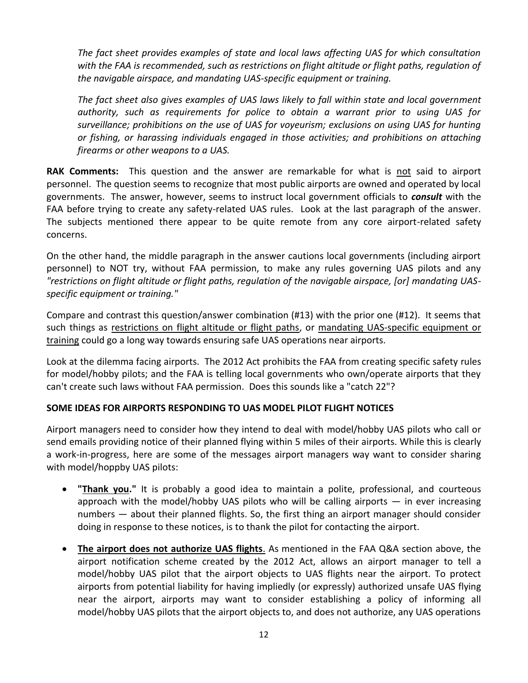*The fact sheet provides examples of state and local laws affecting UAS for which consultation with the FAA is recommended, such as restrictions on flight altitude or flight paths, regulation of the navigable airspace, and mandating UAS-specific equipment or training.*

*The fact sheet also gives examples of UAS laws likely to fall within state and local government authority, such as requirements for police to obtain a warrant prior to using UAS for surveillance; prohibitions on the use of UAS for voyeurism; exclusions on using UAS for hunting or fishing, or harassing individuals engaged in those activities; and prohibitions on attaching firearms or other weapons to a UAS.*

**RAK Comments:** This question and the answer are remarkable for what is not said to airport personnel. The question seems to recognize that most public airports are owned and operated by local governments. The answer, however, seems to instruct local government officials to *consult* with the FAA before trying to create any safety-related UAS rules. Look at the last paragraph of the answer. The subjects mentioned there appear to be quite remote from any core airport-related safety concerns.

On the other hand, the middle paragraph in the answer cautions local governments (including airport personnel) to NOT try, without FAA permission, to make any rules governing UAS pilots and any *"restrictions on flight altitude or flight paths, regulation of the navigable airspace, [or] mandating UASspecific equipment or training."*

Compare and contrast this question/answer combination (#13) with the prior one (#12). It seems that such things as restrictions on flight altitude or flight paths, or mandating UAS-specific equipment or training could go a long way towards ensuring safe UAS operations near airports.

Look at the dilemma facing airports. The 2012 Act prohibits the FAA from creating specific safety rules for model/hobby pilots; and the FAA is telling local governments who own/operate airports that they can't create such laws without FAA permission. Does this sounds like a "catch 22"?

# **SOME IDEAS FOR AIRPORTS RESPONDING TO UAS MODEL PILOT FLIGHT NOTICES**

Airport managers need to consider how they intend to deal with model/hobby UAS pilots who call or send emails providing notice of their planned flying within 5 miles of their airports. While this is clearly a work-in-progress, here are some of the messages airport managers way want to consider sharing with model/hoppby UAS pilots:

- **"Thank you."** It is probably a good idea to maintain a polite, professional, and courteous approach with the model/hobby UAS pilots who will be calling airports — in ever increasing numbers — about their planned flights. So, the first thing an airport manager should consider doing in response to these notices, is to thank the pilot for contacting the airport.
- **The airport does not authorize UAS flights**. As mentioned in the FAA Q&A section above, the airport notification scheme created by the 2012 Act, allows an airport manager to tell a model/hobby UAS pilot that the airport objects to UAS flights near the airport. To protect airports from potential liability for having impliedly (or expressly) authorized unsafe UAS flying near the airport, airports may want to consider establishing a policy of informing all model/hobby UAS pilots that the airport objects to, and does not authorize, any UAS operations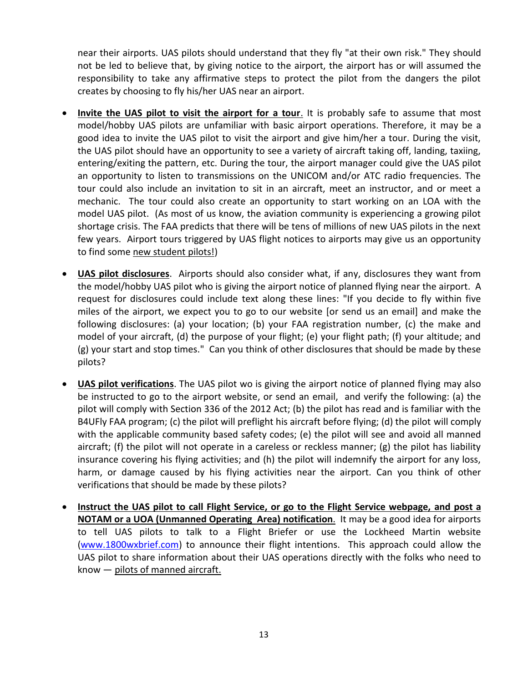near their airports. UAS pilots should understand that they fly "at their own risk." They should not be led to believe that, by giving notice to the airport, the airport has or will assumed the responsibility to take any affirmative steps to protect the pilot from the dangers the pilot creates by choosing to fly his/her UAS near an airport.

- **Invite the UAS pilot to visit the airport for a tour.** It is probably safe to assume that most model/hobby UAS pilots are unfamiliar with basic airport operations. Therefore, it may be a good idea to invite the UAS pilot to visit the airport and give him/her a tour. During the visit, the UAS pilot should have an opportunity to see a variety of aircraft taking off, landing, taxiing, entering/exiting the pattern, etc. During the tour, the airport manager could give the UAS pilot an opportunity to listen to transmissions on the UNICOM and/or ATC radio frequencies. The tour could also include an invitation to sit in an aircraft, meet an instructor, and or meet a mechanic. The tour could also create an opportunity to start working on an LOA with the model UAS pilot. (As most of us know, the aviation community is experiencing a growing pilot shortage crisis. The FAA predicts that there will be tens of millions of new UAS pilots in the next few years. Airport tours triggered by UAS flight notices to airports may give us an opportunity to find some new student pilots!)
- **UAS pilot disclosures**. Airports should also consider what, if any, disclosures they want from the model/hobby UAS pilot who is giving the airport notice of planned flying near the airport. A request for disclosures could include text along these lines: "If you decide to fly within five miles of the airport, we expect you to go to our website [or send us an email] and make the following disclosures: (a) your location; (b) your FAA registration number, (c) the make and model of your aircraft, (d) the purpose of your flight; (e) your flight path; (f) your altitude; and (g) your start and stop times." Can you think of other disclosures that should be made by these pilots?
- **UAS pilot verifications**. The UAS pilot wo is giving the airport notice of planned flying may also be instructed to go to the airport website, or send an email, and verify the following: (a) the pilot will comply with Section 336 of the 2012 Act; (b) the pilot has read and is familiar with the B4UFly FAA program; (c) the pilot will preflight his aircraft before flying; (d) the pilot will comply with the applicable community based safety codes; (e) the pilot will see and avoid all manned aircraft; (f) the pilot will not operate in a careless or reckless manner; (g) the pilot has liability insurance covering his flying activities; and (h) the pilot will indemnify the airport for any loss, harm, or damage caused by his flying activities near the airport. Can you think of other verifications that should be made by these pilots?
- **Instruct the UAS pilot to call Flight Service, or go to the Flight Service webpage, and post a NOTAM or a UOA (Unmanned Operating Area) notification**. It may be a good idea for airports to tell UAS pilots to talk to a Flight Briefer or use the Lockheed Martin website [\(www.1800wxbrief.com\)](http://www.1800wxbrief.com/) to announce their flight intentions. This approach could allow the UAS pilot to share information about their UAS operations directly with the folks who need to know — pilots of manned aircraft.